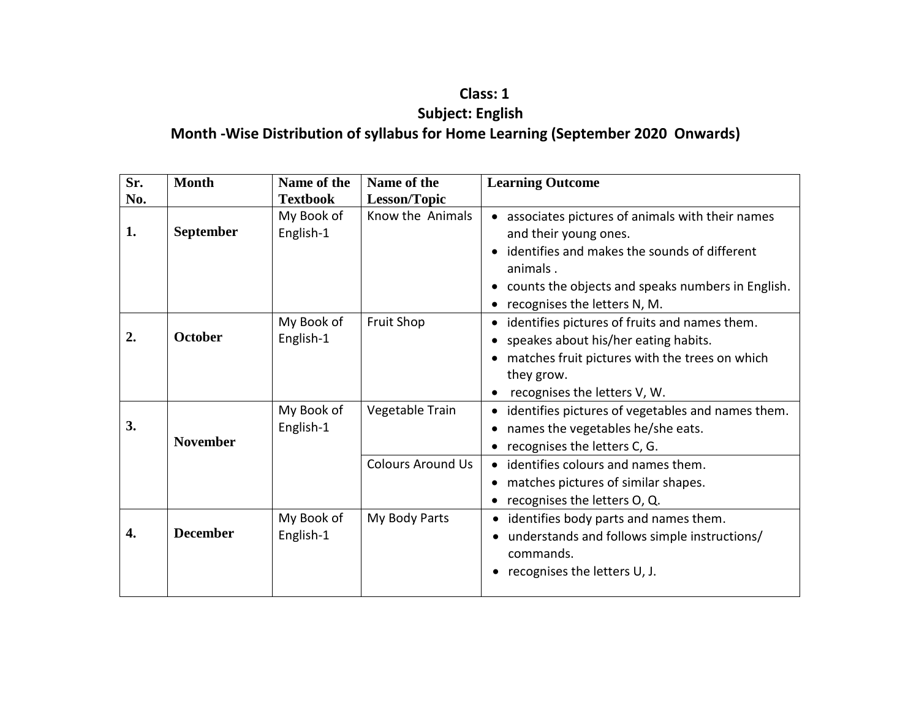## **Class: 1 Subject: English Month -Wise Distribution of syllabus for Home Learning (September 2020 Onwards)**

| Sr. | <b>Month</b>    | Name of the             | Name of the              | <b>Learning Outcome</b>                                                                                                                                                                                                   |
|-----|-----------------|-------------------------|--------------------------|---------------------------------------------------------------------------------------------------------------------------------------------------------------------------------------------------------------------------|
| No. |                 | <b>Textbook</b>         | Lesson/Topic             |                                                                                                                                                                                                                           |
| 1.  | September       | My Book of<br>English-1 | Know the Animals         | associates pictures of animals with their names<br>and their young ones.<br>identifies and makes the sounds of different<br>animals.<br>counts the objects and speaks numbers in English.<br>recognises the letters N, M. |
| 2.  | <b>October</b>  | My Book of<br>English-1 | <b>Fruit Shop</b>        | identifies pictures of fruits and names them.<br>speakes about his/her eating habits.<br>matches fruit pictures with the trees on which<br>they grow.<br>recognises the letters V, W.                                     |
| 3.  | <b>November</b> | My Book of<br>English-1 | Vegetable Train          | identifies pictures of vegetables and names them.<br>names the vegetables he/she eats.<br>recognises the letters C, G.                                                                                                    |
|     |                 |                         | <b>Colours Around Us</b> | identifies colours and names them.<br>matches pictures of similar shapes.<br>recognises the letters O, Q.                                                                                                                 |
| 4.  | <b>December</b> | My Book of<br>English-1 | My Body Parts            | identifies body parts and names them.<br>understands and follows simple instructions/<br>commands.<br>recognises the letters U, J.                                                                                        |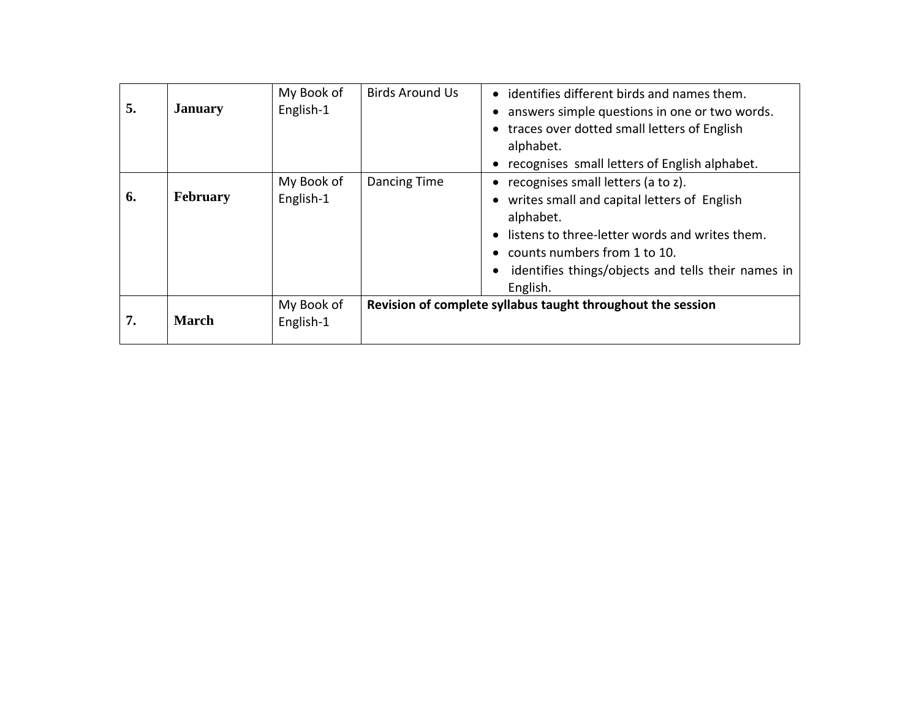| 5. | <b>January</b>  | My Book of<br>English-1 | <b>Birds Around Us</b> | • identifies different birds and names them.<br>answers simple questions in one or two words.<br>• traces over dotted small letters of English<br>alphabet.<br>recognises small letters of English alphabet.                                                      |
|----|-----------------|-------------------------|------------------------|-------------------------------------------------------------------------------------------------------------------------------------------------------------------------------------------------------------------------------------------------------------------|
| 6. | <b>February</b> | My Book of<br>English-1 | Dancing Time           | recognises small letters (a to z).<br>$\bullet$<br>• writes small and capital letters of English<br>alphabet.<br>listens to three-letter words and writes them.<br>counts numbers from 1 to 10.<br>identifies things/objects and tells their names in<br>English. |
| 7. | <b>March</b>    | My Book of<br>English-1 |                        | Revision of complete syllabus taught throughout the session                                                                                                                                                                                                       |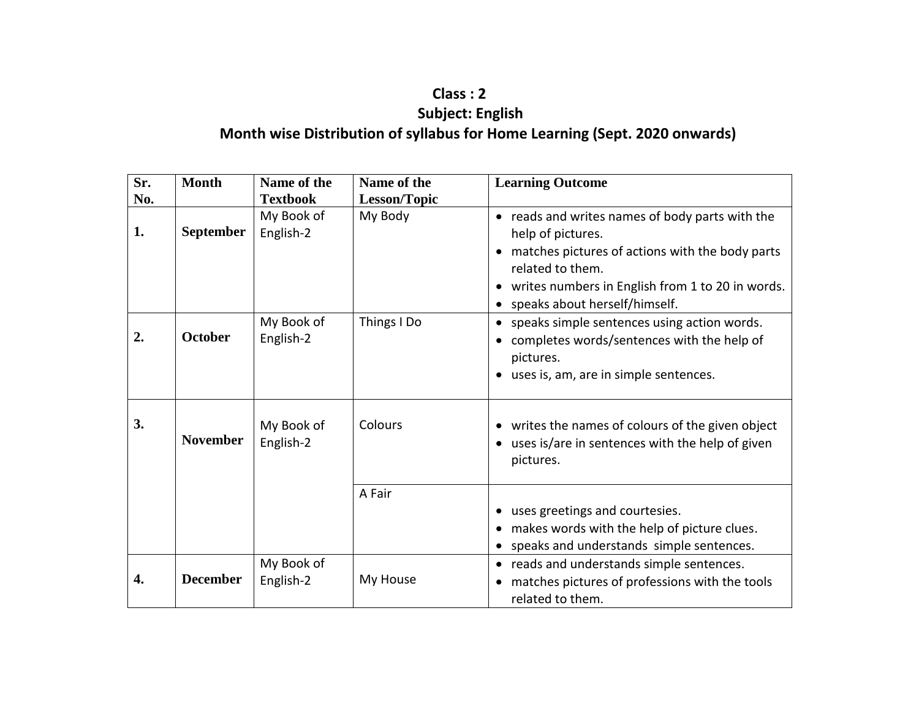### **Class : 2 Subject: English Month wise Distribution of syllabus for Home Learning (Sept. 2020 onwards)**

| Sr. | <b>Month</b>     | Name of the             | Name of the         | <b>Learning Outcome</b>                                                                                                                                                                                                                          |
|-----|------------------|-------------------------|---------------------|--------------------------------------------------------------------------------------------------------------------------------------------------------------------------------------------------------------------------------------------------|
| No. |                  | <b>Textbook</b>         | <b>Lesson/Topic</b> |                                                                                                                                                                                                                                                  |
| 1.  | <b>September</b> | My Book of<br>English-2 | My Body             | reads and writes names of body parts with the<br>$\bullet$<br>help of pictures.<br>matches pictures of actions with the body parts<br>related to them.<br>writes numbers in English from 1 to 20 in words.<br>٠<br>speaks about herself/himself. |
| 2.  | <b>October</b>   | My Book of<br>English-2 | Things I Do         | speaks simple sentences using action words.<br>completes words/sentences with the help of<br>pictures.<br>• uses is, am, are in simple sentences.                                                                                                |
| 3.  | <b>November</b>  | My Book of<br>English-2 | Colours             | • writes the names of colours of the given object<br>uses is/are in sentences with the help of given<br>pictures.                                                                                                                                |
|     |                  |                         | A Fair              | uses greetings and courtesies.<br>makes words with the help of picture clues.<br>speaks and understands simple sentences.                                                                                                                        |
| 4.  | <b>December</b>  | My Book of<br>English-2 | My House            | reads and understands simple sentences.<br>matches pictures of professions with the tools<br>related to them.                                                                                                                                    |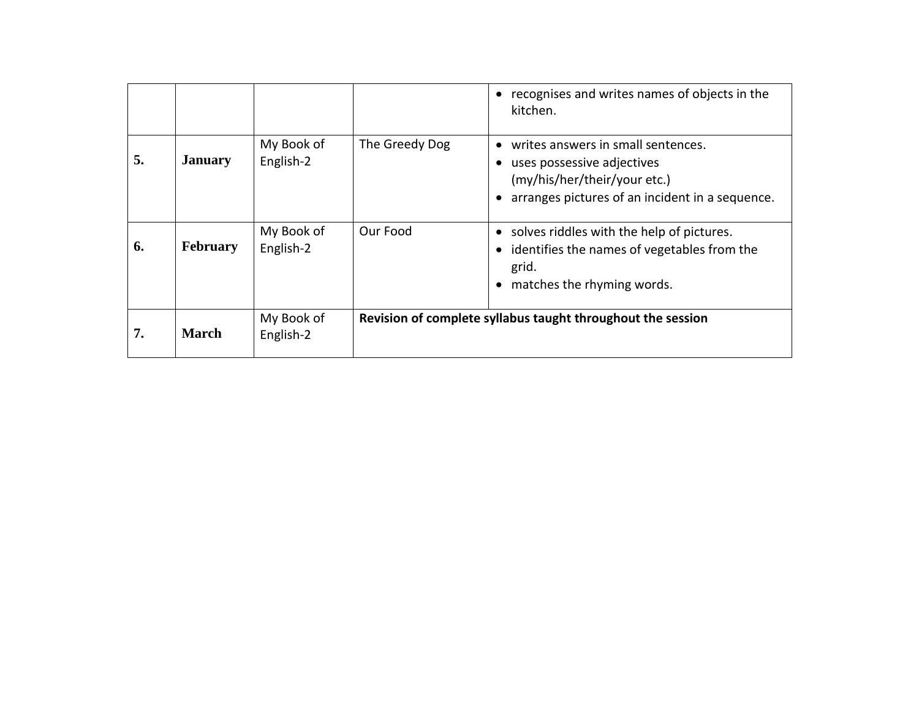|    |                 |                         |                | • recognises and writes names of objects in the<br>kitchen.                                                                                         |
|----|-----------------|-------------------------|----------------|-----------------------------------------------------------------------------------------------------------------------------------------------------|
| 5. | <b>January</b>  | My Book of<br>English-2 | The Greedy Dog | writes answers in small sentences.<br>uses possessive adjectives<br>(my/his/her/their/your etc.)<br>arranges pictures of an incident in a sequence. |
| 6. | <b>February</b> | My Book of<br>English-2 | Our Food       | solves riddles with the help of pictures.<br>• identifies the names of vegetables from the<br>grid.<br>matches the rhyming words.<br>$\bullet$      |
| 7. | <b>March</b>    | My Book of<br>English-2 |                | Revision of complete syllabus taught throughout the session                                                                                         |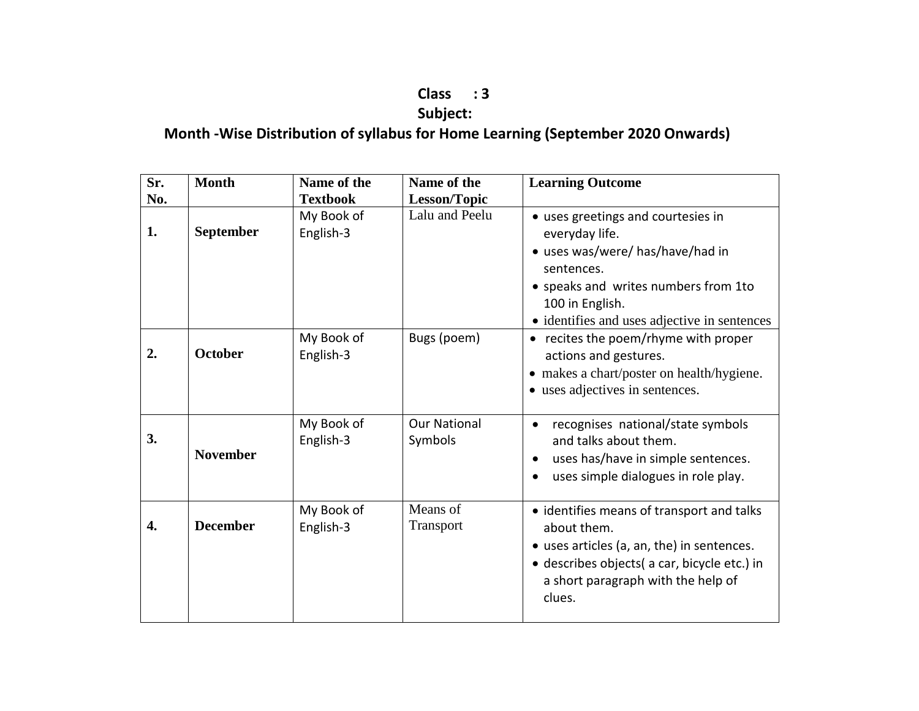# **Class : 3**

## **Subject:**

## **Month -Wise Distribution of syllabus for Home Learning (September 2020 Onwards)**

| Sr.<br>No. | <b>Month</b>    | Name of the<br><b>Textbook</b> | Name of the<br>Lesson/Topic    | <b>Learning Outcome</b>                                                                                                                                                                                           |
|------------|-----------------|--------------------------------|--------------------------------|-------------------------------------------------------------------------------------------------------------------------------------------------------------------------------------------------------------------|
| 1.         | September       | My Book of<br>English-3        | Lalu and Peelu                 | • uses greetings and courtesies in<br>everyday life.<br>• uses was/were/ has/have/had in<br>sentences.<br>• speaks and writes numbers from 1to<br>100 in English.<br>• identifies and uses adjective in sentences |
| 2.         | <b>October</b>  | My Book of<br>English-3        | Bugs (poem)                    | • recites the poem/rhyme with proper<br>actions and gestures.<br>• makes a chart/poster on health/hygiene.<br>• uses adjectives in sentences.                                                                     |
| 3.         | <b>November</b> | My Book of<br>English-3        | <b>Our National</b><br>Symbols | recognises national/state symbols<br>and talks about them.<br>uses has/have in simple sentences.<br>$\bullet$<br>uses simple dialogues in role play.<br>$\bullet$                                                 |
| 4.         | <b>December</b> | My Book of<br>English-3        | Means of<br>Transport          | • identifies means of transport and talks<br>about them.<br>• uses articles (a, an, the) in sentences.<br>· describes objects( a car, bicycle etc.) in<br>a short paragraph with the help of<br>clues.            |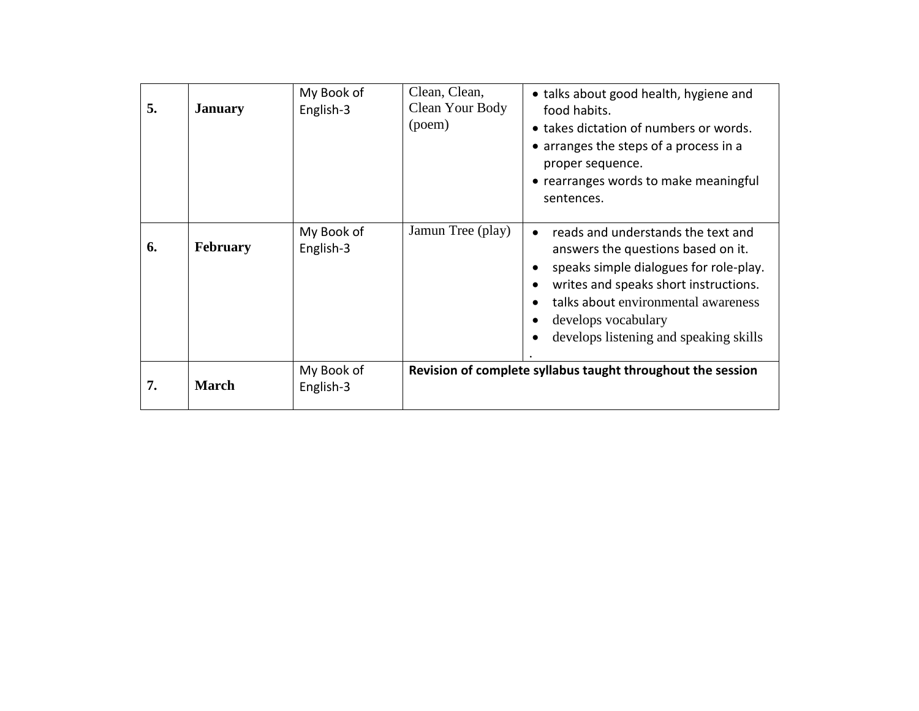| 5. | <b>January</b>  | My Book of<br>English-3 | Clean, Clean,<br>Clean Your Body<br>(poem) | • talks about good health, hygiene and<br>food habits.<br>• takes dictation of numbers or words.<br>• arranges the steps of a process in a<br>proper sequence.<br>• rearranges words to make meaningful<br>sentences.                                                                                                   |
|----|-----------------|-------------------------|--------------------------------------------|-------------------------------------------------------------------------------------------------------------------------------------------------------------------------------------------------------------------------------------------------------------------------------------------------------------------------|
| 6. | <b>February</b> | My Book of<br>English-3 | Jamun Tree (play)                          | reads and understands the text and<br>$\bullet$<br>answers the questions based on it.<br>speaks simple dialogues for role-play.<br>$\bullet$<br>writes and speaks short instructions.<br>$\bullet$<br>talks about environmental awareness<br>$\bullet$<br>develops vocabulary<br>develops listening and speaking skills |
| 7. | <b>March</b>    | My Book of<br>English-3 |                                            | Revision of complete syllabus taught throughout the session                                                                                                                                                                                                                                                             |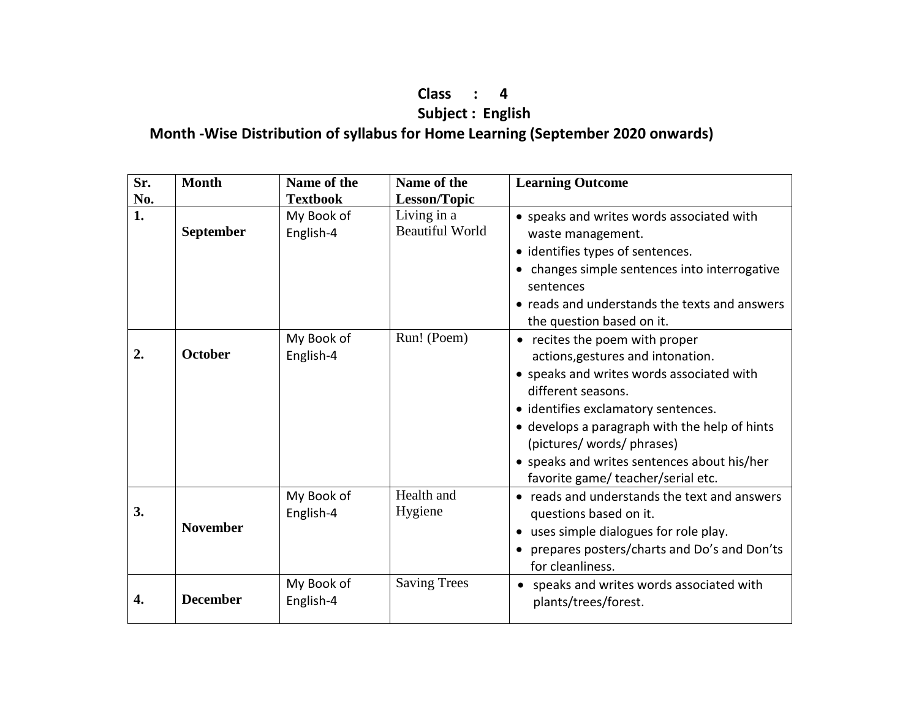#### **Class : 4 Subject : English Month -Wise Distribution of syllabus for Home Learning (September 2020 onwards)**

| Sr. | <b>Month</b>     | Name of the             | Name of the                           | <b>Learning Outcome</b>                                                                                                                                                                                                                                                                                                                          |
|-----|------------------|-------------------------|---------------------------------------|--------------------------------------------------------------------------------------------------------------------------------------------------------------------------------------------------------------------------------------------------------------------------------------------------------------------------------------------------|
| No. |                  | <b>Textbook</b>         | <b>Lesson/Topic</b>                   |                                                                                                                                                                                                                                                                                                                                                  |
| 1.  | <b>September</b> | My Book of<br>English-4 | Living in a<br><b>Beautiful World</b> | • speaks and writes words associated with<br>waste management.<br>• identifies types of sentences.<br>• changes simple sentences into interrogative<br>sentences<br>• reads and understands the texts and answers<br>the question based on it.                                                                                                   |
| 2.  | <b>October</b>   | My Book of<br>English-4 | Run! (Poem)                           | • recites the poem with proper<br>actions, gestures and intonation.<br>• speaks and writes words associated with<br>different seasons.<br>• identifies exclamatory sentences.<br>• develops a paragraph with the help of hints<br>(pictures/ words/ phrases)<br>• speaks and writes sentences about his/her<br>favorite game/teacher/serial etc. |
| 3.  | <b>November</b>  | My Book of<br>English-4 | Health and<br>Hygiene                 | • reads and understands the text and answers<br>questions based on it.<br>• uses simple dialogues for role play.<br>• prepares posters/charts and Do's and Don'ts<br>for cleanliness.                                                                                                                                                            |
| 4.  | <b>December</b>  | My Book of<br>English-4 | <b>Saving Trees</b>                   | • speaks and writes words associated with<br>plants/trees/forest.                                                                                                                                                                                                                                                                                |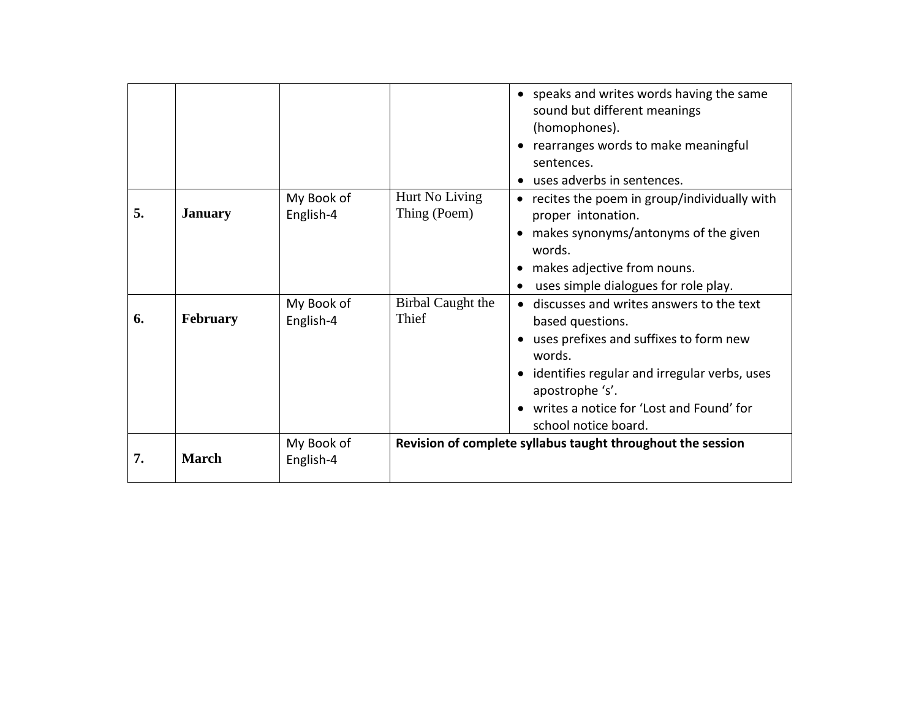|    |                 |                         |                                | • speaks and writes words having the same<br>sound but different meanings<br>(homophones).<br>rearranges words to make meaningful<br>$\bullet$<br>sentences.<br>uses adverbs in sentences.                                                              |
|----|-----------------|-------------------------|--------------------------------|---------------------------------------------------------------------------------------------------------------------------------------------------------------------------------------------------------------------------------------------------------|
| 5. | <b>January</b>  | My Book of<br>English-4 | Hurt No Living<br>Thing (Poem) | • recites the poem in group/individually with<br>proper intonation.<br>makes synonyms/antonyms of the given<br>words.<br>makes adjective from nouns.<br>uses simple dialogues for role play.                                                            |
| 6. | <b>February</b> | My Book of<br>English-4 | Birbal Caught the<br>Thief     | discusses and writes answers to the text<br>based questions.<br>uses prefixes and suffixes to form new<br>words.<br>identifies regular and irregular verbs, uses<br>apostrophe 's'.<br>writes a notice for 'Lost and Found' for<br>school notice board. |
| 7. | <b>March</b>    | My Book of<br>English-4 |                                | Revision of complete syllabus taught throughout the session                                                                                                                                                                                             |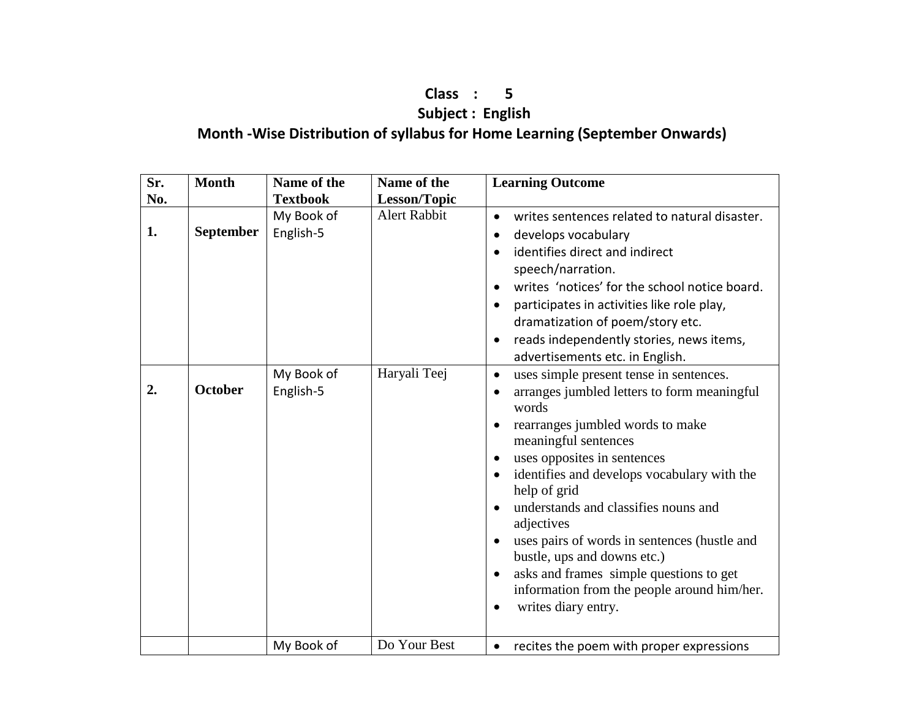### **Class : 5 Subject : English Month -Wise Distribution of syllabus for Home Learning (September Onwards)**

| Sr. | <b>Month</b>     | Name of the             | Name of the         | <b>Learning Outcome</b>                                                                                                                                         |
|-----|------------------|-------------------------|---------------------|-----------------------------------------------------------------------------------------------------------------------------------------------------------------|
| No. |                  | <b>Textbook</b>         | Lesson/Topic        |                                                                                                                                                                 |
| 1.  | <b>September</b> | My Book of<br>English-5 | <b>Alert Rabbit</b> | writes sentences related to natural disaster.<br>$\bullet$<br>develops vocabulary                                                                               |
|     |                  |                         |                     | identifies direct and indirect<br>speech/narration.<br>writes 'notices' for the school notice board.<br>$\bullet$<br>participates in activities like role play, |
|     |                  |                         |                     | dramatization of poem/story etc.<br>reads independently stories, news items,<br>$\bullet$<br>advertisements etc. in English.                                    |
| 2.  | <b>October</b>   | My Book of<br>English-5 | Haryali Teej        | uses simple present tense in sentences.<br>$\bullet$<br>arranges jumbled letters to form meaningful<br>words                                                    |
|     |                  |                         |                     | rearranges jumbled words to make<br>meaningful sentences                                                                                                        |
|     |                  |                         |                     | uses opposites in sentences<br>identifies and develops vocabulary with the<br>help of grid                                                                      |
|     |                  |                         |                     | understands and classifies nouns and<br>adjectives                                                                                                              |
|     |                  |                         |                     | uses pairs of words in sentences (hustle and<br>bustle, ups and downs etc.)                                                                                     |
|     |                  |                         |                     | asks and frames simple questions to get<br>information from the people around him/her.<br>writes diary entry.                                                   |
|     |                  |                         |                     |                                                                                                                                                                 |
|     |                  | My Book of              | Do Your Best        | recites the poem with proper expressions                                                                                                                        |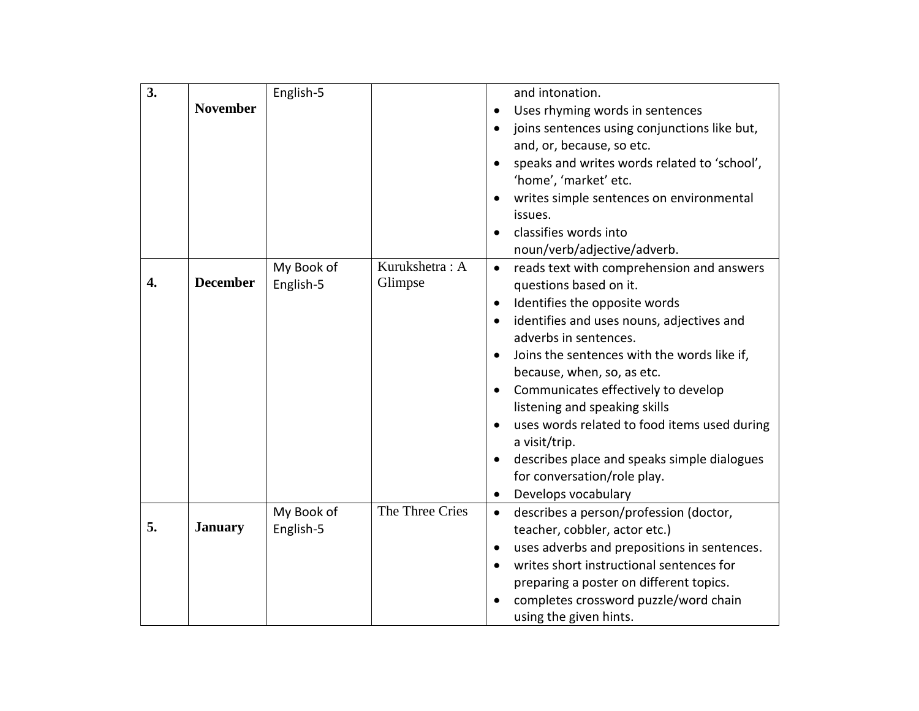| 3. |                 | English-5  |                 | and intonation.                                           |
|----|-----------------|------------|-----------------|-----------------------------------------------------------|
|    | <b>November</b> |            |                 | Uses rhyming words in sentences<br>$\bullet$              |
|    |                 |            |                 | joins sentences using conjunctions like but,<br>$\bullet$ |
|    |                 |            |                 | and, or, because, so etc.                                 |
|    |                 |            |                 | speaks and writes words related to 'school',              |
|    |                 |            |                 | 'home', 'market' etc.                                     |
|    |                 |            |                 | writes simple sentences on environmental                  |
|    |                 |            |                 | issues.                                                   |
|    |                 |            |                 | classifies words into                                     |
|    |                 |            |                 | noun/verb/adjective/adverb.                               |
|    |                 | My Book of | Kurukshetra: A  | reads text with comprehension and answers<br>$\bullet$    |
| 4. | <b>December</b> | English-5  | Glimpse         | questions based on it.                                    |
|    |                 |            |                 | Identifies the opposite words<br>$\bullet$                |
|    |                 |            |                 | identifies and uses nouns, adjectives and                 |
|    |                 |            |                 | adverbs in sentences.                                     |
|    |                 |            |                 | Joins the sentences with the words like if,               |
|    |                 |            |                 | because, when, so, as etc.                                |
|    |                 |            |                 | Communicates effectively to develop<br>$\bullet$          |
|    |                 |            |                 | listening and speaking skills                             |
|    |                 |            |                 | uses words related to food items used during              |
|    |                 |            |                 | a visit/trip.                                             |
|    |                 |            |                 | describes place and speaks simple dialogues               |
|    |                 |            |                 | for conversation/role play.                               |
|    |                 |            |                 | Develops vocabulary<br>$\bullet$                          |
|    |                 | My Book of | The Three Cries | describes a person/profession (doctor,<br>$\bullet$       |
| 5. | <b>January</b>  | English-5  |                 | teacher, cobbler, actor etc.)                             |
|    |                 |            |                 | uses adverbs and prepositions in sentences.<br>$\bullet$  |
|    |                 |            |                 | writes short instructional sentences for<br>$\bullet$     |
|    |                 |            |                 | preparing a poster on different topics.                   |
|    |                 |            |                 | completes crossword puzzle/word chain                     |
|    |                 |            |                 | using the given hints.                                    |